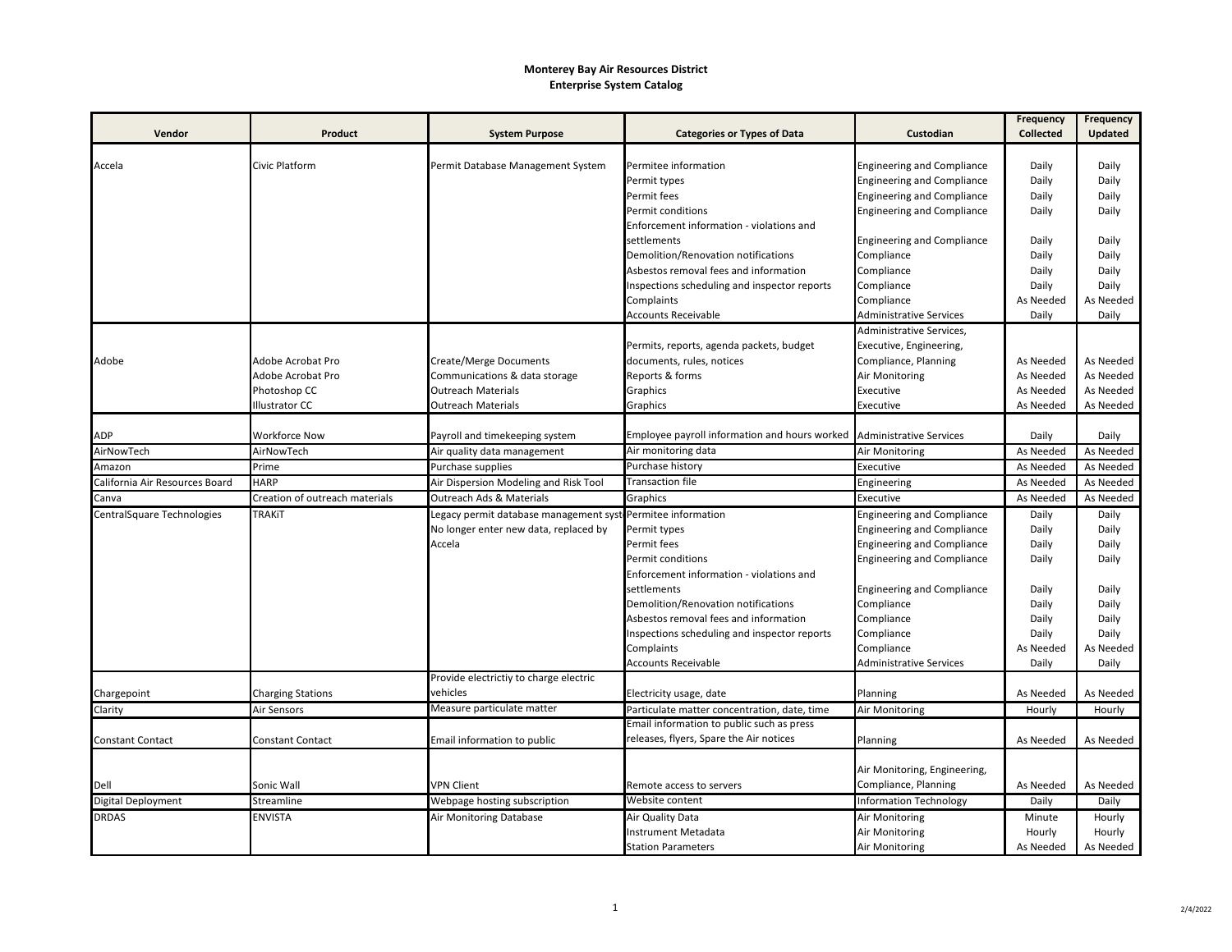## **Monterey Bay Air Resources District Enterprise System Catalog**

| Vendor<br>Product<br><b>System Purpose</b><br><b>Categories or Types of Data</b><br>Custodian<br><b>Collected</b><br>Accela<br>Civic Platform<br>Permit Database Management System<br>Permitee information<br><b>Engineering and Compliance</b><br>Daily<br><b>Engineering and Compliance</b><br>Daily<br>Permit types<br>Permit fees<br><b>Engineering and Compliance</b><br>Daily<br>Permit conditions<br><b>Engineering and Compliance</b><br>Daily<br>Enforcement information - violations and<br>settlements<br><b>Engineering and Compliance</b><br>Daily<br>Demolition/Renovation notifications<br>Compliance<br>Daily<br>Asbestos removal fees and information<br>Compliance<br>Daily<br>Daily<br>Inspections scheduling and inspector reports<br>Compliance<br>Complaints<br>Compliance<br>As Needed<br><b>Accounts Receivable</b><br>Daily<br><b>Administrative Services</b><br>Administrative Services,<br>Permits, reports, agenda packets, budget<br>Executive, Engineering,<br>Adobe Acrobat Pro<br><b>Create/Merge Documents</b><br>documents, rules, notices<br>Compliance, Planning<br>As Needed<br>Adobe | <b>Frequency</b><br><b>Frequency</b> |
|----------------------------------------------------------------------------------------------------------------------------------------------------------------------------------------------------------------------------------------------------------------------------------------------------------------------------------------------------------------------------------------------------------------------------------------------------------------------------------------------------------------------------------------------------------------------------------------------------------------------------------------------------------------------------------------------------------------------------------------------------------------------------------------------------------------------------------------------------------------------------------------------------------------------------------------------------------------------------------------------------------------------------------------------------------------------------------------------------------------------------|--------------------------------------|
|                                                                                                                                                                                                                                                                                                                                                                                                                                                                                                                                                                                                                                                                                                                                                                                                                                                                                                                                                                                                                                                                                                                            | <b>Updated</b>                       |
|                                                                                                                                                                                                                                                                                                                                                                                                                                                                                                                                                                                                                                                                                                                                                                                                                                                                                                                                                                                                                                                                                                                            |                                      |
|                                                                                                                                                                                                                                                                                                                                                                                                                                                                                                                                                                                                                                                                                                                                                                                                                                                                                                                                                                                                                                                                                                                            | Daily                                |
|                                                                                                                                                                                                                                                                                                                                                                                                                                                                                                                                                                                                                                                                                                                                                                                                                                                                                                                                                                                                                                                                                                                            | Daily                                |
|                                                                                                                                                                                                                                                                                                                                                                                                                                                                                                                                                                                                                                                                                                                                                                                                                                                                                                                                                                                                                                                                                                                            | Daily                                |
|                                                                                                                                                                                                                                                                                                                                                                                                                                                                                                                                                                                                                                                                                                                                                                                                                                                                                                                                                                                                                                                                                                                            | Daily                                |
|                                                                                                                                                                                                                                                                                                                                                                                                                                                                                                                                                                                                                                                                                                                                                                                                                                                                                                                                                                                                                                                                                                                            |                                      |
|                                                                                                                                                                                                                                                                                                                                                                                                                                                                                                                                                                                                                                                                                                                                                                                                                                                                                                                                                                                                                                                                                                                            | Daily                                |
|                                                                                                                                                                                                                                                                                                                                                                                                                                                                                                                                                                                                                                                                                                                                                                                                                                                                                                                                                                                                                                                                                                                            | Daily                                |
|                                                                                                                                                                                                                                                                                                                                                                                                                                                                                                                                                                                                                                                                                                                                                                                                                                                                                                                                                                                                                                                                                                                            | Daily                                |
|                                                                                                                                                                                                                                                                                                                                                                                                                                                                                                                                                                                                                                                                                                                                                                                                                                                                                                                                                                                                                                                                                                                            | Daily                                |
|                                                                                                                                                                                                                                                                                                                                                                                                                                                                                                                                                                                                                                                                                                                                                                                                                                                                                                                                                                                                                                                                                                                            | As Needed                            |
|                                                                                                                                                                                                                                                                                                                                                                                                                                                                                                                                                                                                                                                                                                                                                                                                                                                                                                                                                                                                                                                                                                                            | Daily                                |
|                                                                                                                                                                                                                                                                                                                                                                                                                                                                                                                                                                                                                                                                                                                                                                                                                                                                                                                                                                                                                                                                                                                            |                                      |
|                                                                                                                                                                                                                                                                                                                                                                                                                                                                                                                                                                                                                                                                                                                                                                                                                                                                                                                                                                                                                                                                                                                            |                                      |
|                                                                                                                                                                                                                                                                                                                                                                                                                                                                                                                                                                                                                                                                                                                                                                                                                                                                                                                                                                                                                                                                                                                            | As Needed                            |
| Adobe Acrobat Pro<br>Communications & data storage<br>Reports & forms<br>Air Monitoring<br>As Needed                                                                                                                                                                                                                                                                                                                                                                                                                                                                                                                                                                                                                                                                                                                                                                                                                                                                                                                                                                                                                       | As Needed                            |
| Photoshop CC<br>Outreach Materials<br>Graphics<br>Executive<br>As Needed                                                                                                                                                                                                                                                                                                                                                                                                                                                                                                                                                                                                                                                                                                                                                                                                                                                                                                                                                                                                                                                   | As Needed                            |
| Illustrator CC<br><b>Outreach Materials</b><br>Graphics<br>Executive<br>As Needed                                                                                                                                                                                                                                                                                                                                                                                                                                                                                                                                                                                                                                                                                                                                                                                                                                                                                                                                                                                                                                          | As Needed                            |
|                                                                                                                                                                                                                                                                                                                                                                                                                                                                                                                                                                                                                                                                                                                                                                                                                                                                                                                                                                                                                                                                                                                            |                                      |
| Employee payroll information and hours worked<br><b>Administrative Services</b><br><b>ADP</b><br>Workforce Now<br>Payroll and timekeeping system<br>Daily                                                                                                                                                                                                                                                                                                                                                                                                                                                                                                                                                                                                                                                                                                                                                                                                                                                                                                                                                                  | Daily                                |
| AirNowTech<br>Air monitoring data<br>AirNowTech<br>Air quality data management<br>Air Monitoring<br>As Needed                                                                                                                                                                                                                                                                                                                                                                                                                                                                                                                                                                                                                                                                                                                                                                                                                                                                                                                                                                                                              | As Needed                            |
| Amazon<br>Purchase history<br>Prime<br>Purchase supplies<br>Executive<br>As Needed                                                                                                                                                                                                                                                                                                                                                                                                                                                                                                                                                                                                                                                                                                                                                                                                                                                                                                                                                                                                                                         | As Needed                            |
| California Air Resources Board<br><b>HARP</b><br>Air Dispersion Modeling and Risk Tool<br>Transaction file<br>Engineering<br>As Needed                                                                                                                                                                                                                                                                                                                                                                                                                                                                                                                                                                                                                                                                                                                                                                                                                                                                                                                                                                                     | As Needed                            |
| Canva<br>Creation of outreach materials<br>Outreach Ads & Materials<br>As Needed<br>Graphics<br>Executive                                                                                                                                                                                                                                                                                                                                                                                                                                                                                                                                                                                                                                                                                                                                                                                                                                                                                                                                                                                                                  | As Needed                            |
| CentralSquare Technologies<br><b>TRAKIT</b><br><b>Engineering and Compliance</b><br>Legacy permit database management sys<br>Permitee information<br>Daily                                                                                                                                                                                                                                                                                                                                                                                                                                                                                                                                                                                                                                                                                                                                                                                                                                                                                                                                                                 | Daily                                |
| No longer enter new data, replaced by<br>Permit types<br><b>Engineering and Compliance</b><br>Daily                                                                                                                                                                                                                                                                                                                                                                                                                                                                                                                                                                                                                                                                                                                                                                                                                                                                                                                                                                                                                        | Daily                                |
| Accela<br>Permit fees<br><b>Engineering and Compliance</b><br>Daily                                                                                                                                                                                                                                                                                                                                                                                                                                                                                                                                                                                                                                                                                                                                                                                                                                                                                                                                                                                                                                                        | Daily                                |
| Permit conditions<br><b>Engineering and Compliance</b><br>Daily                                                                                                                                                                                                                                                                                                                                                                                                                                                                                                                                                                                                                                                                                                                                                                                                                                                                                                                                                                                                                                                            | Daily                                |
| Enforcement information - violations and                                                                                                                                                                                                                                                                                                                                                                                                                                                                                                                                                                                                                                                                                                                                                                                                                                                                                                                                                                                                                                                                                   |                                      |
| Daily<br>settlements<br><b>Engineering and Compliance</b>                                                                                                                                                                                                                                                                                                                                                                                                                                                                                                                                                                                                                                                                                                                                                                                                                                                                                                                                                                                                                                                                  | Daily                                |
| Demolition/Renovation notifications<br>Daily<br>Compliance                                                                                                                                                                                                                                                                                                                                                                                                                                                                                                                                                                                                                                                                                                                                                                                                                                                                                                                                                                                                                                                                 | Daily                                |
| Daily<br>Asbestos removal fees and information<br>Compliance                                                                                                                                                                                                                                                                                                                                                                                                                                                                                                                                                                                                                                                                                                                                                                                                                                                                                                                                                                                                                                                               | Daily                                |
| Inspections scheduling and inspector reports<br>Compliance<br>Daily                                                                                                                                                                                                                                                                                                                                                                                                                                                                                                                                                                                                                                                                                                                                                                                                                                                                                                                                                                                                                                                        | Daily                                |
| Complaints<br>Compliance<br>As Needed                                                                                                                                                                                                                                                                                                                                                                                                                                                                                                                                                                                                                                                                                                                                                                                                                                                                                                                                                                                                                                                                                      | As Needed                            |
| <b>Accounts Receivable</b><br>Administrative Services<br>Daily                                                                                                                                                                                                                                                                                                                                                                                                                                                                                                                                                                                                                                                                                                                                                                                                                                                                                                                                                                                                                                                             | Daily                                |
| Provide electrictiy to charge electric                                                                                                                                                                                                                                                                                                                                                                                                                                                                                                                                                                                                                                                                                                                                                                                                                                                                                                                                                                                                                                                                                     |                                      |
| vehicles<br>Planning<br>Chargepoint<br><b>Charging Stations</b><br>Electricity usage, date<br>As Needed                                                                                                                                                                                                                                                                                                                                                                                                                                                                                                                                                                                                                                                                                                                                                                                                                                                                                                                                                                                                                    | As Needed                            |
| Clarity<br>Measure particulate matter<br>Air Sensors<br>Particulate matter concentration, date, time<br>Air Monitoring<br>Hourly                                                                                                                                                                                                                                                                                                                                                                                                                                                                                                                                                                                                                                                                                                                                                                                                                                                                                                                                                                                           | Hourly                               |
| Email information to public such as press                                                                                                                                                                                                                                                                                                                                                                                                                                                                                                                                                                                                                                                                                                                                                                                                                                                                                                                                                                                                                                                                                  |                                      |
| releases, flyers, Spare the Air notices<br>Email information to public<br><b>Constant Contact</b><br><b>Constant Contact</b><br>Planning<br>As Needed                                                                                                                                                                                                                                                                                                                                                                                                                                                                                                                                                                                                                                                                                                                                                                                                                                                                                                                                                                      | As Needed                            |
|                                                                                                                                                                                                                                                                                                                                                                                                                                                                                                                                                                                                                                                                                                                                                                                                                                                                                                                                                                                                                                                                                                                            |                                      |
| Air Monitoring, Engineering,                                                                                                                                                                                                                                                                                                                                                                                                                                                                                                                                                                                                                                                                                                                                                                                                                                                                                                                                                                                                                                                                                               |                                      |
| Compliance, Planning<br>Dell<br>Sonic Wall<br><b>VPN Client</b><br>Remote access to servers<br>As Needed                                                                                                                                                                                                                                                                                                                                                                                                                                                                                                                                                                                                                                                                                                                                                                                                                                                                                                                                                                                                                   | As Needed                            |
| Digital Deployment<br>Website content<br>Streamline<br>Webpage hosting subscription<br><b>Information Technology</b><br>Daily                                                                                                                                                                                                                                                                                                                                                                                                                                                                                                                                                                                                                                                                                                                                                                                                                                                                                                                                                                                              | Daily                                |
| <b>DRDAS</b><br><b>ENVISTA</b><br>Air Monitoring Database<br>Air Quality Data<br>Air Monitoring<br>Minute                                                                                                                                                                                                                                                                                                                                                                                                                                                                                                                                                                                                                                                                                                                                                                                                                                                                                                                                                                                                                  | Hourly                               |
| <b>Instrument Metadata</b><br>Air Monitoring<br>Hourly                                                                                                                                                                                                                                                                                                                                                                                                                                                                                                                                                                                                                                                                                                                                                                                                                                                                                                                                                                                                                                                                     | Hourly                               |
| <b>Station Parameters</b><br>Air Monitoring<br>As Needed<br>As Needed                                                                                                                                                                                                                                                                                                                                                                                                                                                                                                                                                                                                                                                                                                                                                                                                                                                                                                                                                                                                                                                      |                                      |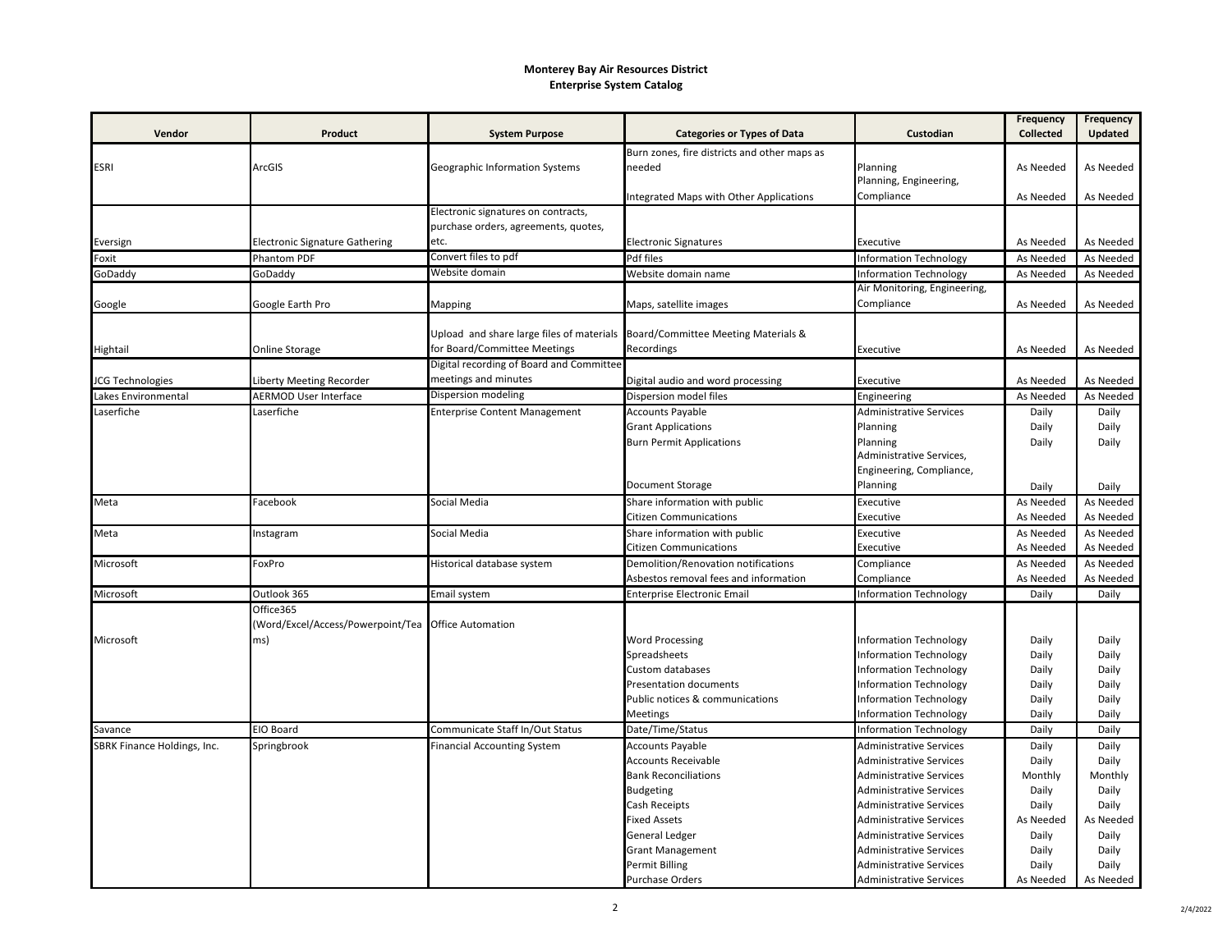## **Monterey Bay Air Resources District Enterprise System Catalog**

|                             |                                       |                                                                               |                                              |                                | <b>Frequency</b> | Frequency |
|-----------------------------|---------------------------------------|-------------------------------------------------------------------------------|----------------------------------------------|--------------------------------|------------------|-----------|
| Vendor                      | Product                               | <b>System Purpose</b>                                                         | <b>Categories or Types of Data</b>           | Custodian                      | <b>Collected</b> | Updated   |
|                             |                                       |                                                                               | Burn zones, fire districts and other maps as |                                |                  |           |
| <b>ESRI</b>                 | ArcGIS                                | Geographic Information Systems                                                | needed                                       | Planning                       | As Needed        | As Needed |
|                             |                                       |                                                                               |                                              | Planning, Engineering,         |                  |           |
|                             |                                       |                                                                               | Integrated Maps with Other Applications      | Compliance                     | As Needed        | As Needed |
|                             |                                       | Electronic signatures on contracts,                                           |                                              |                                |                  |           |
|                             |                                       | purchase orders, agreements, quotes,                                          |                                              |                                |                  |           |
| Eversign                    | <b>Electronic Signature Gathering</b> | etc.                                                                          | <b>Electronic Signatures</b>                 | Executive                      | As Needed        | As Needed |
| Foxit                       | Phantom PDF                           | Convert files to pdf                                                          | Pdf files                                    | <b>Information Technology</b>  | As Needed        | As Needed |
| GoDaddy                     | GoDaddy                               | Website domain                                                                | Website domain name                          | <b>Information Technology</b>  | As Needed        | As Needed |
|                             |                                       |                                                                               |                                              | Air Monitoring, Engineering,   |                  |           |
| Google                      | Google Earth Pro                      | Mapping                                                                       | Maps, satellite images                       | Compliance                     | As Needed        | As Needed |
|                             |                                       |                                                                               |                                              |                                |                  |           |
|                             |                                       | Upload and share large files of materials Board/Committee Meeting Materials & |                                              |                                |                  |           |
| Hightail                    | Online Storage                        | for Board/Committee Meetings                                                  | Recordings                                   | Executive                      | As Needed        | As Needed |
|                             |                                       | Digital recording of Board and Committee                                      |                                              |                                |                  |           |
| JCG Technologies            | Liberty Meeting Recorder              | meetings and minutes                                                          | Digital audio and word processing            | Executive                      | As Needed        | As Needed |
| Lakes Environmental         | <b>AERMOD User Interface</b>          | Dispersion modeling                                                           | Dispersion model files                       | Engineering                    | As Needed        | As Needed |
| Laserfiche                  | Laserfiche                            | <b>Enterprise Content Management</b>                                          | <b>Accounts Payable</b>                      | <b>Administrative Services</b> | Daily            | Daily     |
|                             |                                       |                                                                               | <b>Grant Applications</b>                    | Planning                       | Daily            | Daily     |
|                             |                                       |                                                                               | <b>Burn Permit Applications</b>              | Planning                       | Daily            | Daily     |
|                             |                                       |                                                                               |                                              | Administrative Services,       |                  |           |
|                             |                                       |                                                                               |                                              | Engineering, Compliance,       |                  |           |
|                             |                                       |                                                                               | Document Storage                             | Planning                       | Daily            | Daily     |
| Meta                        | Facebook                              | Social Media                                                                  | Share information with public                | Executive                      | As Needed        | As Needed |
|                             |                                       |                                                                               | Citizen Communications                       | Executive                      | As Needed        | As Needed |
| Meta                        | Instagram                             | Social Media                                                                  | Share information with public                | Executive                      | As Needed        | As Needed |
|                             |                                       |                                                                               | Citizen Communications                       | Executive                      | As Needed        | As Needed |
| Microsoft                   | FoxPro                                | Historical database system                                                    | Demolition/Renovation notifications          | Compliance                     | As Needed        | As Needed |
|                             |                                       |                                                                               | Asbestos removal fees and information        | Compliance                     | As Needed        | As Needed |
| Microsoft                   | Outlook 365                           | Email system                                                                  | <b>Enterprise Electronic Email</b>           | <b>Information Technology</b>  | Daily            | Daily     |
|                             | Office365                             |                                                                               |                                              |                                |                  |           |
|                             | (Word/Excel/Access/Powerpoint/Tea     | <b>Office Automation</b>                                                      |                                              |                                |                  |           |
| Microsoft                   | ms)                                   |                                                                               | <b>Word Processing</b>                       | <b>Information Technology</b>  | Daily            | Daily     |
|                             |                                       |                                                                               | Spreadsheets                                 | <b>Information Technology</b>  | Daily            | Daily     |
|                             |                                       |                                                                               | <b>Custom databases</b>                      | <b>Information Technology</b>  | Daily            | Daily     |
|                             |                                       |                                                                               | <b>Presentation documents</b>                | <b>Information Technology</b>  | Daily            | Daily     |
|                             |                                       |                                                                               | Public notices & communications              | Information Technology         | Daily            | Daily     |
|                             |                                       |                                                                               | Meetings                                     | <b>Information Technology</b>  | Daily            | Daily     |
| Savance                     | <b>EIO Board</b>                      | Communicate Staff In/Out Status                                               | Date/Time/Status                             | Information Technology         | Daily            | Daily     |
| SBRK Finance Holdings, Inc. | Springbrook                           | <b>Financial Accounting System</b>                                            | <b>Accounts Payable</b>                      | <b>Administrative Services</b> | Daily            | Daily     |
|                             |                                       |                                                                               | <b>Accounts Receivable</b>                   | <b>Administrative Services</b> | Daily            | Daily     |
|                             |                                       |                                                                               | <b>Bank Reconciliations</b>                  | <b>Administrative Services</b> | Monthly          | Monthly   |
|                             |                                       |                                                                               | <b>Budgeting</b>                             | <b>Administrative Services</b> | Daily            | Daily     |
|                             |                                       |                                                                               | Cash Receipts                                | <b>Administrative Services</b> | Daily            | Daily     |
|                             |                                       |                                                                               | <b>Fixed Assets</b>                          | Administrative Services        | As Needed        | As Needed |
|                             |                                       |                                                                               | General Ledger                               | <b>Administrative Services</b> | Daily            | Daily     |
|                             |                                       |                                                                               | <b>Grant Management</b>                      | <b>Administrative Services</b> | Daily            | Daily     |
|                             |                                       |                                                                               | <b>Permit Billing</b>                        | <b>Administrative Services</b> | Daily            | Daily     |
|                             |                                       |                                                                               | Purchase Orders                              | <b>Administrative Services</b> | As Needed        | As Needed |